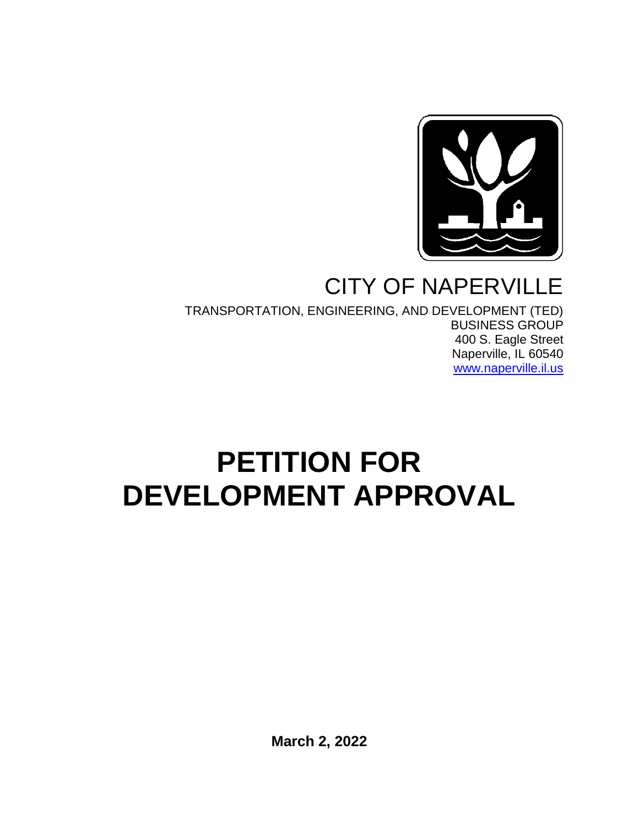

# CITY OF NAPERVILLE

TRANSPORTATION, ENGINEERING, AND DEVELOPMENT (TED) BUSINESS GROUP 400 S. Eagle Street Naperville, IL 60540 [www.naperville.il.us](http://www.naperville.il.us/)

# **PETITION FOR DEVELOPMENT APPROVAL**

**March 2, 2022**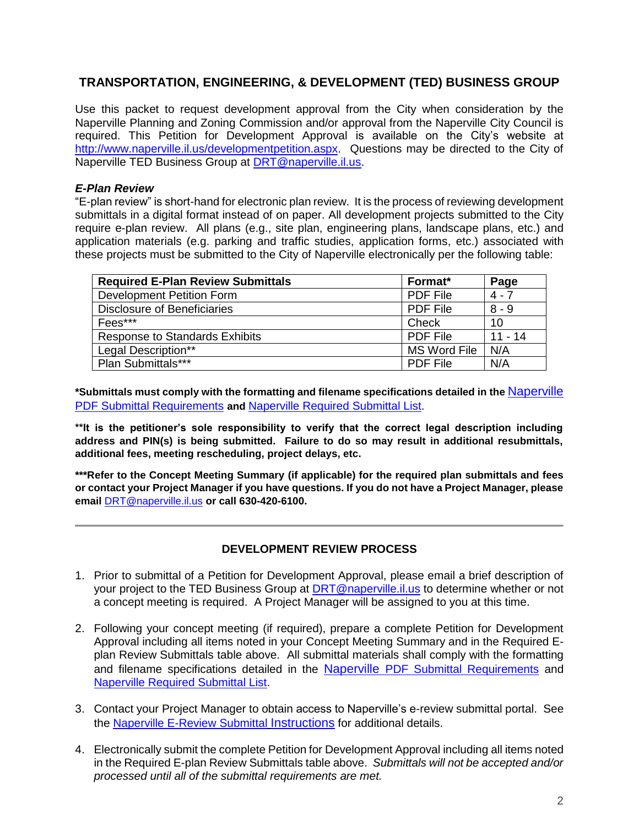# **TRANSPORTATION, ENGINEERING, & DEVELOPMENT (TED) BUSINESS GROUP**

Use this packet to request development approval from the City when consideration by the Naperville Planning and Zoning Commission and/or approval from the Naperville City Council is required. This Petition for Development Approval is available on the City's website at [http://www.naperville.il.us/developmentpetition.aspx.](http://www.naperville.il.us/developmentpetition.aspx) Questions may be directed to the City of Naperville TED Business Group at [DRT@naperville.il.us.](mailto:DRT@naperville.il.us)

# *E-Plan Review*

"E-plan review" is short-hand for electronic plan review. It is the process of reviewing development submittals in a digital format instead of on paper. All development projects submitted to the City require e-plan review. All plans (e.g., site plan, engineering plans, landscape plans, etc.) and application materials (e.g. parking and traffic studies, application forms, etc.) associated with these projects must be submitted to the City of Naperville electronically per the following table:

| <b>Required E-Plan Review Submittals</b> | Format*         | Page      |
|------------------------------------------|-----------------|-----------|
| <b>Development Petition Form</b>         | <b>PDF File</b> | $4 - 7$   |
| Disclosure of Beneficiaries              | <b>PDF File</b> | $8 - 9$   |
| Fees***                                  | Check           | 10        |
| <b>Response to Standards Exhibits</b>    | <b>PDF File</b> | $11 - 14$ |
| Legal Description**                      | MS Word File    | N/A       |
| Plan Submittals***                       | <b>PDF File</b> | N/A       |

**\*Submittals must comply with the formatting and filename specifications detailed in the** Naperville [PDF Submittal Requirements](https://www.naperville.il.us/services/permits--licenses/development-petition-and-application/) **and** [Naperville Required Submittal List.](https://www.naperville.il.us/services/permits--licenses/development-petition-and-application/)

**\*\*It is the petitioner's sole responsibility to verify that the correct legal description including address and PIN(s) is being submitted. Failure to do so may result in additional resubmittals, additional fees, meeting rescheduling, project delays, etc.**

**\*\*\*Refer to the Concept Meeting Summary (if applicable) for the required plan submittals and fees or contact your Project Manager if you have questions. If you do not have a Project Manager, please email** [DRT@naperville.il.us](mailto:DRT@naperville.il.us) **or call 630-420-6100.**

## **DEVELOPMENT REVIEW PROCESS**

- 1. Prior to submittal of a Petition for Development Approval, please email a brief description of your project to the TED Business Group at [DRT@naperville.il.us](mailto:DRT@naperville.il.us) to determine whether or not a concept meeting is required. A Project Manager will be assigned to you at this time.
- 2. Following your concept meeting (if required), prepare a complete Petition for Development Approval including all items noted in your Concept Meeting Summary and in the Required Eplan Review Submittals table above. All submittal materials shall comply with the formatting and filename specifications detailed in the Naperville [PDF Submittal Requirements](https://www.naperville.il.us/services/permits--licenses/development-petition-and-application/) and [Naperville Required Submittal List.](https://www.naperville.il.us/services/permits--licenses/development-petition-and-application/)
- 3. Contact your Project Manager to obtain access to Naperville's e-review submittal portal. See the [Naperville E-Review Submittal](https://www.naperville.il.us/services/permits--licenses/development-petition-and-application/) Instructions for additional details.
- 4. Electronically submit the complete Petition for Development Approval including all items noted in the Required E-plan Review Submittals table above. *Submittals will not be accepted and/or processed until all of the submittal requirements are met.*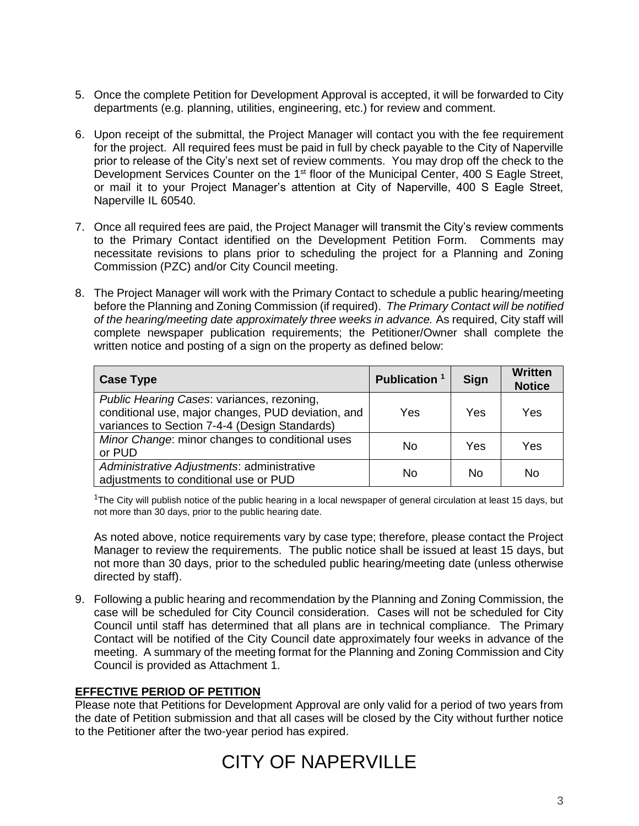- 5. Once the complete Petition for Development Approval is accepted, it will be forwarded to City departments (e.g. planning, utilities, engineering, etc.) for review and comment.
- 6. Upon receipt of the submittal, the Project Manager will contact you with the fee requirement for the project. All required fees must be paid in full by check payable to the City of Naperville prior to release of the City's next set of review comments. You may drop off the check to the Development Services Counter on the 1<sup>st</sup> floor of the Municipal Center, 400 S Eagle Street, or mail it to your Project Manager's attention at City of Naperville, 400 S Eagle Street, Naperville IL 60540.
- 7. Once all required fees are paid, the Project Manager will transmit the City's review comments to the Primary Contact identified on the Development Petition Form. Comments may necessitate revisions to plans prior to scheduling the project for a Planning and Zoning Commission (PZC) and/or City Council meeting.
- 8. The Project Manager will work with the Primary Contact to schedule a public hearing/meeting before the Planning and Zoning Commission (if required). *The Primary Contact will be notified of the hearing/meeting date approximately three weeks in advance.* As required, City staff will complete newspaper publication requirements; the Petitioner/Owner shall complete the written notice and posting of a sign on the property as defined below:

| <b>Case Type</b>                                                                                                                                  | Publication <sup>1</sup> | Sign | <b>Written</b><br><b>Notice</b> |
|---------------------------------------------------------------------------------------------------------------------------------------------------|--------------------------|------|---------------------------------|
| Public Hearing Cases: variances, rezoning,<br>conditional use, major changes, PUD deviation, and<br>variances to Section 7-4-4 (Design Standards) | Yes                      | Yes  | Yes                             |
| Minor Change: minor changes to conditional uses<br>or PUD                                                                                         | No                       | Yes  | Yes                             |
| Administrative Adjustments: administrative<br>adjustments to conditional use or PUD                                                               | Nο                       | No   | No                              |

 $1$ The City will publish notice of the public hearing in a local newspaper of general circulation at least 15 days, but not more than 30 days, prior to the public hearing date.

As noted above, notice requirements vary by case type; therefore, please contact the Project Manager to review the requirements. The public notice shall be issued at least 15 days, but not more than 30 days, prior to the scheduled public hearing/meeting date (unless otherwise directed by staff).

9. Following a public hearing and recommendation by the Planning and Zoning Commission, the case will be scheduled for City Council consideration. Cases will not be scheduled for City Council until staff has determined that all plans are in technical compliance. The Primary Contact will be notified of the City Council date approximately four weeks in advance of the meeting. A summary of the meeting format for the Planning and Zoning Commission and City Council is provided as Attachment 1.

# **EFFECTIVE PERIOD OF PETITION**

Please note that Petitions for Development Approval are only valid for a period of two years from the date of Petition submission and that all cases will be closed by the City without further notice to the Petitioner after the two-year period has expired.

# CITY OF NAPERVILLE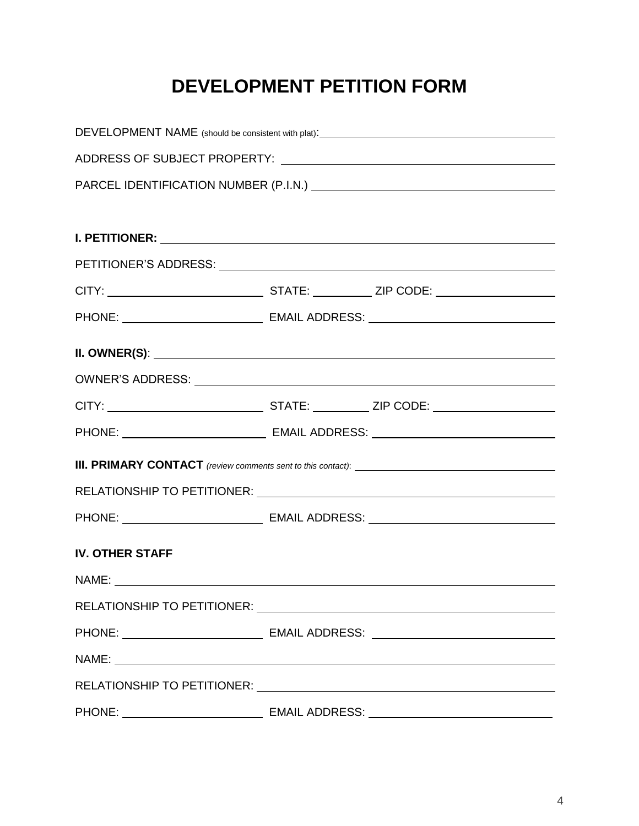# **DEVELOPMENT PETITION FORM**

| DEVELOPMENT NAME (should be consistent with plat):_______________________________                                                                                                                                             |  |  |  |
|-------------------------------------------------------------------------------------------------------------------------------------------------------------------------------------------------------------------------------|--|--|--|
|                                                                                                                                                                                                                               |  |  |  |
|                                                                                                                                                                                                                               |  |  |  |
|                                                                                                                                                                                                                               |  |  |  |
|                                                                                                                                                                                                                               |  |  |  |
|                                                                                                                                                                                                                               |  |  |  |
|                                                                                                                                                                                                                               |  |  |  |
|                                                                                                                                                                                                                               |  |  |  |
|                                                                                                                                                                                                                               |  |  |  |
|                                                                                                                                                                                                                               |  |  |  |
|                                                                                                                                                                                                                               |  |  |  |
|                                                                                                                                                                                                                               |  |  |  |
|                                                                                                                                                                                                                               |  |  |  |
|                                                                                                                                                                                                                               |  |  |  |
|                                                                                                                                                                                                                               |  |  |  |
| <b>IV. OTHER STAFF</b>                                                                                                                                                                                                        |  |  |  |
|                                                                                                                                                                                                                               |  |  |  |
| RELATIONSHIP TO PETITIONER: University of the contract of the contract of the contract of the contract of the contract of the contract of the contract of the contract of the contract of the contract of the contract of the |  |  |  |
|                                                                                                                                                                                                                               |  |  |  |
| PHONE: __________________________________ EMAIL ADDRESS: _______________________                                                                                                                                              |  |  |  |
| NAME: NAME:                                                                                                                                                                                                                   |  |  |  |
|                                                                                                                                                                                                                               |  |  |  |
|                                                                                                                                                                                                                               |  |  |  |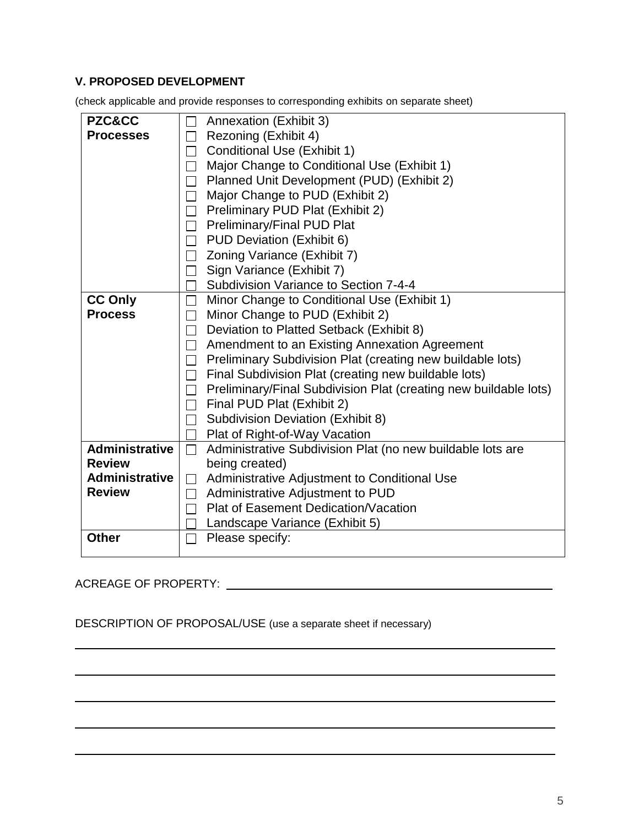# **V. PROPOSED DEVELOPMENT**

(check applicable and provide responses to corresponding exhibits on separate sheet)

| <b>PZC&amp;CC</b>                                                               | Annexation (Exhibit 3)                                             |
|---------------------------------------------------------------------------------|--------------------------------------------------------------------|
| <b>Processes</b>                                                                | Rezoning (Exhibit 4)<br>$\Box$                                     |
|                                                                                 | Conditional Use (Exhibit 1)<br>$\Box$                              |
|                                                                                 | Major Change to Conditional Use (Exhibit 1)<br>$\Box$              |
|                                                                                 | Planned Unit Development (PUD) (Exhibit 2)<br>$\Box$               |
|                                                                                 | Major Change to PUD (Exhibit 2)<br>$\Box$                          |
|                                                                                 | Preliminary PUD Plat (Exhibit 2)<br>$\Box$                         |
|                                                                                 | □ Preliminary/Final PUD Plat                                       |
|                                                                                 | $\Box$ PUD Deviation (Exhibit 6)                                   |
|                                                                                 | □ Zoning Variance (Exhibit 7)                                      |
|                                                                                 | Sign Variance (Exhibit 7)<br>$\Box$                                |
|                                                                                 | Subdivision Variance to Section 7-4-4                              |
| <b>CC Only</b>                                                                  | Minor Change to Conditional Use (Exhibit 1)<br>$\Box$              |
| <b>Process</b>                                                                  | Minor Change to PUD (Exhibit 2)<br>$\Box$                          |
|                                                                                 | Deviation to Platted Setback (Exhibit 8)<br>$\Box$                 |
|                                                                                 | Amendment to an Existing Annexation Agreement<br>$\Box$            |
|                                                                                 | $\Box$ Preliminary Subdivision Plat (creating new buildable lots)  |
|                                                                                 | Final Subdivision Plat (creating new buildable lots)<br>$\Box$     |
|                                                                                 | □ Preliminary/Final Subdivision Plat (creating new buildable lots) |
|                                                                                 | Final PUD Plat (Exhibit 2)<br>$\Box$                               |
|                                                                                 | <b>Subdivision Deviation (Exhibit 8)</b><br>$\Box$                 |
|                                                                                 | Plat of Right-of-Way Vacation                                      |
| <b>Administrative</b>                                                           | Administrative Subdivision Plat (no new buildable lots are<br>П    |
| being created)<br><b>Review</b>                                                 |                                                                    |
| <b>Administrative</b><br>Administrative Adjustment to Conditional Use<br>$\Box$ |                                                                    |
| <b>Review</b>                                                                   | Administrative Adjustment to PUD                                   |
|                                                                                 | <b>Plat of Easement Dedication/Vacation</b>                        |
|                                                                                 | Landscape Variance (Exhibit 5)                                     |
| <b>Other</b>                                                                    | Please specify:                                                    |
|                                                                                 |                                                                    |

# ACREAGE OF PROPERTY:

DESCRIPTION OF PROPOSAL/USE (use a separate sheet if necessary)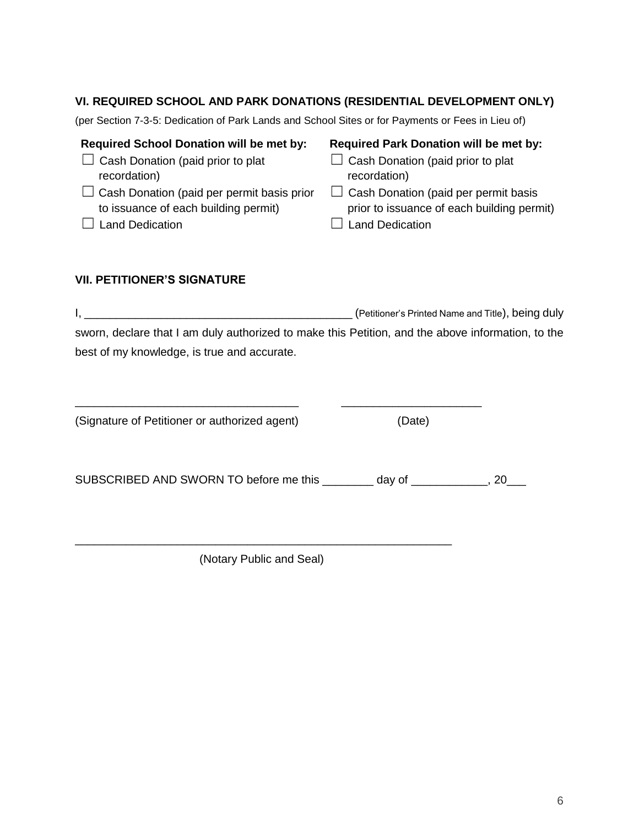# **VI. REQUIRED SCHOOL AND PARK DONATIONS (RESIDENTIAL DEVELOPMENT ONLY)**

(per Section 7-3-5: Dedication of Park Lands and School Sites or for Payments or Fees in Lieu of)

| <b>Required Park Donation will be met by:</b> |
|-----------------------------------------------|
| $\Box$ Cash Donation (paid prior to plat      |
| recordation)                                  |
| $\Box$ Cash Donation (paid per permit basis   |
| prior to issuance of each building permit)    |
| Land Dedication                               |
|                                               |

# **VII. PETITIONER'S SIGNATURE**

I, \_\_\_\_\_\_\_\_\_\_\_\_\_\_\_\_\_\_\_\_\_\_\_\_\_\_\_\_\_\_\_\_\_\_\_\_\_\_\_\_\_\_ (Petitioner's Printed Name and Title), being duly sworn, declare that I am duly authorized to make this Petition, and the above information, to the best of my knowledge, is true and accurate.

| (Date)                  |
|-------------------------|
| __ day of _______<br>20 |
|                         |

\_\_\_\_\_\_\_\_\_\_\_\_\_\_\_\_\_\_\_\_\_\_\_\_\_\_\_\_\_\_\_\_\_\_\_\_\_\_\_\_\_\_\_\_\_\_\_\_\_\_\_\_\_\_\_\_\_\_\_ (Notary Public and Seal)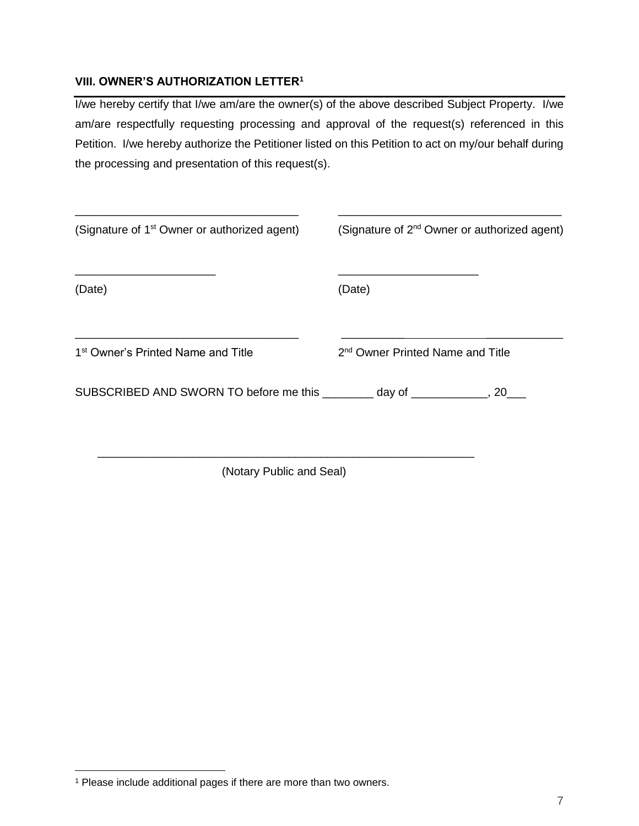# **VIII. OWNER'S AUTHORIZATION LETTER<sup>1</sup>**

I/we hereby certify that I/we am/are the owner(s) of the above described Subject Property. I/we am/are respectfully requesting processing and approval of the request(s) referenced in this Petition. I/we hereby authorize the Petitioner listed on this Petition to act on my/our behalf during the processing and presentation of this request(s).

| (Signature of 1 <sup>st</sup> Owner or authorized agent)                 | (Signature of 2 <sup>nd</sup> Owner or authorized agent) |
|--------------------------------------------------------------------------|----------------------------------------------------------|
| (Date)                                                                   | (Date)                                                   |
| 1 <sup>st</sup> Owner's Printed Name and Title                           | 2 <sup>nd</sup> Owner Printed Name and Title             |
| SUBSCRIBED AND SWORN TO before me this ________ day of __________, 20___ |                                                          |
|                                                                          |                                                          |

(Notary Public and Seal)

 $\overline{a}$ <sup>1</sup> Please include additional pages if there are more than two owners.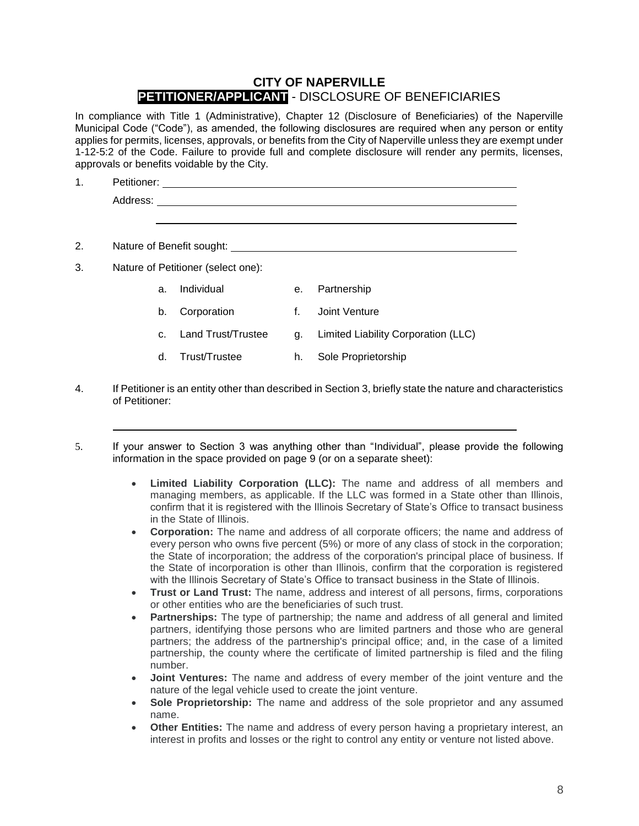# **CITY OF NAPERVILLE PETITIONER/APPLICANT** - DISCLOSURE OF BENEFICIARIES

In compliance with Title 1 (Administrative), Chapter 12 (Disclosure of Beneficiaries) of the Naperville Municipal Code ("Code"), as amended, the following disclosures are required when any person or entity applies for permits, licenses, approvals, or benefits from the City of Naperville unless they are exempt under 1-12-5:2 of the Code. Failure to provide full and complete disclosure will render any permits, licenses, approvals or benefits voidable by the City.

| $\mathbf 1$ . | Petitioner:                        |             |
|---------------|------------------------------------|-------------|
|               | Address:                           |             |
|               |                                    |             |
| 2.            | Nature of Benefit sought:          |             |
|               |                                    |             |
| 3.            | Nature of Petitioner (select one): |             |
|               | Individual<br>е.<br>a.             | Partnership |

- b. Corporation f. Joint Venture
- c. Land Trust/Trustee g. Limited Liability Corporation (LLC)
- d. Trust/Trustee h. Sole Proprietorship
- 4. If Petitioner is an entity other than described in Section 3, briefly state the nature and characteristics of Petitioner:
- 5. If your answer to Section 3 was anything other than "Individual", please provide the following information in the space provided on page 9 (or on a separate sheet):
	- **Limited Liability Corporation (LLC):** The name and address of all members and managing members, as applicable. If the LLC was formed in a State other than Illinois, confirm that it is registered with the Illinois Secretary of State's Office to transact business in the State of Illinois.
	- **Corporation:** The name and address of all corporate officers; the name and address of every person who owns five percent (5%) or more of any class of stock in the corporation; the State of incorporation; the address of the corporation's principal place of business. If the State of incorporation is other than Illinois, confirm that the corporation is registered with the Illinois Secretary of State's Office to transact business in the State of Illinois.
	- **Trust or Land Trust:** The name, address and interest of all persons, firms, corporations or other entities who are the beneficiaries of such trust.
	- **Partnerships:** The type of partnership; the name and address of all general and limited partners, identifying those persons who are limited partners and those who are general partners; the address of the partnership's principal office; and, in the case of a limited partnership, the county where the certificate of limited partnership is filed and the filing number.
	- **Joint Ventures:** The name and address of every member of the joint venture and the nature of the legal vehicle used to create the joint venture.
	- **Sole Proprietorship:** The name and address of the sole proprietor and any assumed name.
	- **Other Entities:** The name and address of every person having a proprietary interest, an interest in profits and losses or the right to control any entity or venture not listed above.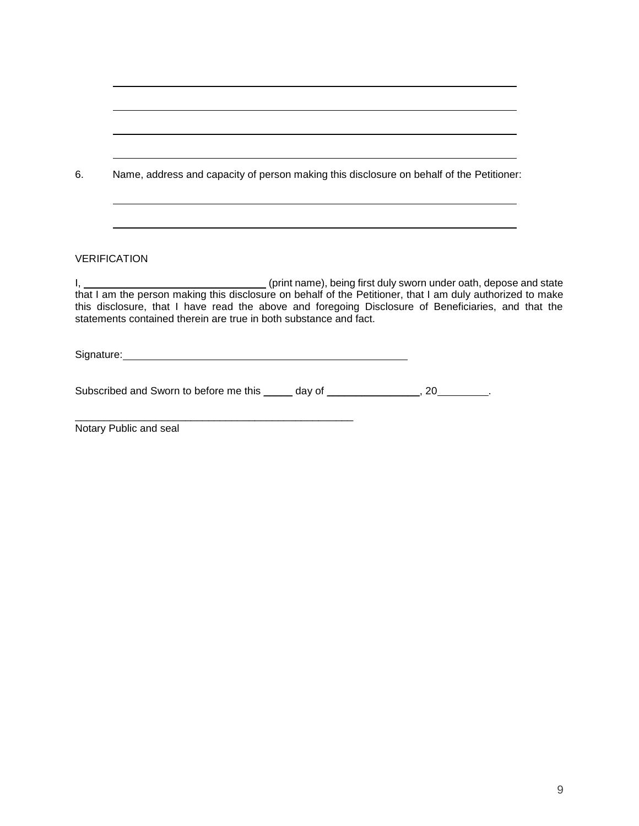| 6. | Name, address and capacity of person making this disclosure on behalf of the Petitioner:                                                                                                                                                                                                                                                                               |
|----|------------------------------------------------------------------------------------------------------------------------------------------------------------------------------------------------------------------------------------------------------------------------------------------------------------------------------------------------------------------------|
|    |                                                                                                                                                                                                                                                                                                                                                                        |
|    | <b>VERIFICATION</b>                                                                                                                                                                                                                                                                                                                                                    |
|    | I, 1. 2008 (print name), being first duly sworn under oath, depose and state<br>that I am the person making this disclosure on behalf of the Petitioner, that I am duly authorized to make<br>this disclosure, that I have read the above and foregoing Disclosure of Beneficiaries, and that the<br>statements contained therein are true in both substance and fact. |
|    | Signature: Signature: Signature: Signature: Signature: Signature: Signature: Signature: Signature: Signature: Signature: Signature: Signature: Signature: Signature: Signature: Signature: Signature: Signature: Signature: Si                                                                                                                                         |
|    | Subscribed and Sworn to before me this ______ day of _________________, 20________.                                                                                                                                                                                                                                                                                    |

Notary Public and seal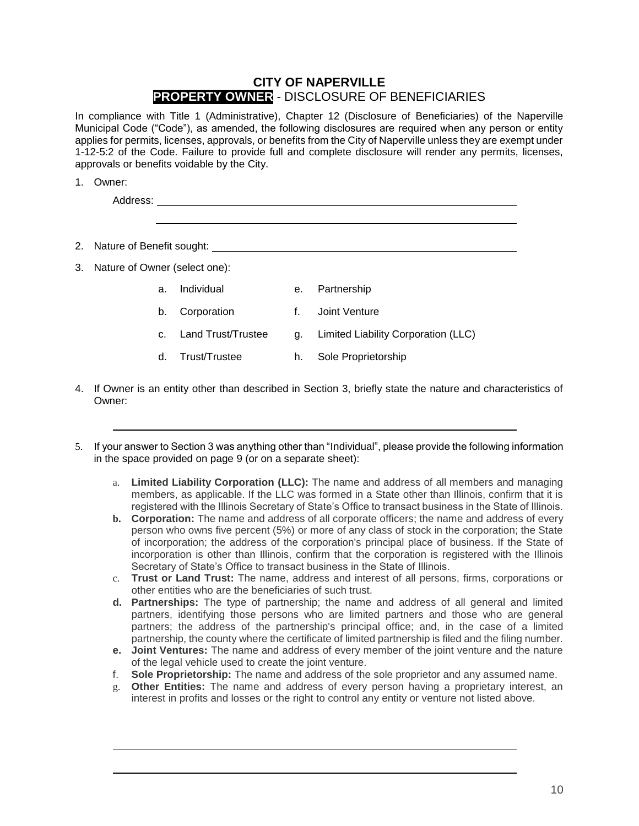# **CITY OF NAPERVILLE PROPERTY OWNER** - DISCLOSURE OF BENEFICIARIES

In compliance with Title 1 (Administrative), Chapter 12 (Disclosure of Beneficiaries) of the Naperville Municipal Code ("Code"), as amended, the following disclosures are required when any person or entity applies for permits, licenses, approvals, or benefits from the City of Naperville unless they are exempt under 1-12-5:2 of the Code. Failure to provide full and complete disclosure will render any permits, licenses, approvals or benefits voidable by the City.

1. Owner:

| Address: |  |  |
|----------|--|--|
|          |  |  |

- 2. Nature of Benefit sought:
- 3. Nature of Owner (select one):
	- a. Individual e. Partnership
	- b. Corporation f. Joint Venture
	- c. Land Trust/Trustee g. Limited Liability Corporation (LLC)
	- d. Trust/Trustee h. Sole Proprietorship
- 4. If Owner is an entity other than described in Section 3, briefly state the nature and characteristics of Owner:
- 5. If your answer to Section 3 was anything other than "Individual", please provide the following information in the space provided on page 9 (or on a separate sheet):
	- a. **Limited Liability Corporation (LLC):** The name and address of all members and managing members, as applicable. If the LLC was formed in a State other than Illinois, confirm that it is registered with the Illinois Secretary of State's Office to transact business in the State of Illinois.
	- **b. Corporation:** The name and address of all corporate officers; the name and address of every person who owns five percent (5%) or more of any class of stock in the corporation; the State of incorporation; the address of the corporation's principal place of business. If the State of incorporation is other than Illinois, confirm that the corporation is registered with the Illinois Secretary of State's Office to transact business in the State of Illinois.
	- c. **Trust or Land Trust:** The name, address and interest of all persons, firms, corporations or other entities who are the beneficiaries of such trust.
	- **d. Partnerships:** The type of partnership; the name and address of all general and limited partners, identifying those persons who are limited partners and those who are general partners; the address of the partnership's principal office; and, in the case of a limited partnership, the county where the certificate of limited partnership is filed and the filing number.
	- **e. Joint Ventures:** The name and address of every member of the joint venture and the nature of the legal vehicle used to create the joint venture.
	- f. **Sole Proprietorship:** The name and address of the sole proprietor and any assumed name.
	- g. **Other Entities:** The name and address of every person having a proprietary interest, an interest in profits and losses or the right to control any entity or venture not listed above.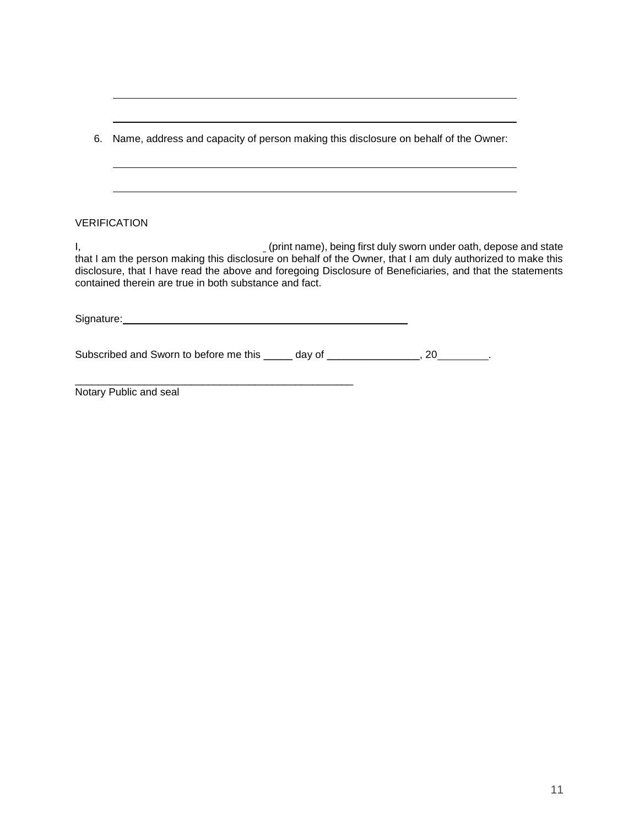|    | 6. Name, address and capacity of person making this disclosure on behalf of the Owner:                                                                                                                                                                                            |                                                                   |  |
|----|-----------------------------------------------------------------------------------------------------------------------------------------------------------------------------------------------------------------------------------------------------------------------------------|-------------------------------------------------------------------|--|
|    |                                                                                                                                                                                                                                                                                   |                                                                   |  |
|    | <b>VERIFICATION</b>                                                                                                                                                                                                                                                               |                                                                   |  |
| Ι, | that I am the person making this disclosure on behalf of the Owner, that I am duly authorized to make this<br>disclosure, that I have read the above and foregoing Disclosure of Beneficiaries, and that the statements<br>contained therein are true in both substance and fact. | (print name), being first duly sworn under oath, depose and state |  |
|    | Signature: <u>contract and contract and contract and contract and contract and contract and contract and contract and contract and contract and contract and contract and contract and contract and contract and contract and co</u>                                              |                                                                   |  |
|    | Subscribed and Sworn to before me this ______ day of ________________, 20________.                                                                                                                                                                                                |                                                                   |  |
|    | Notary Public and seal                                                                                                                                                                                                                                                            |                                                                   |  |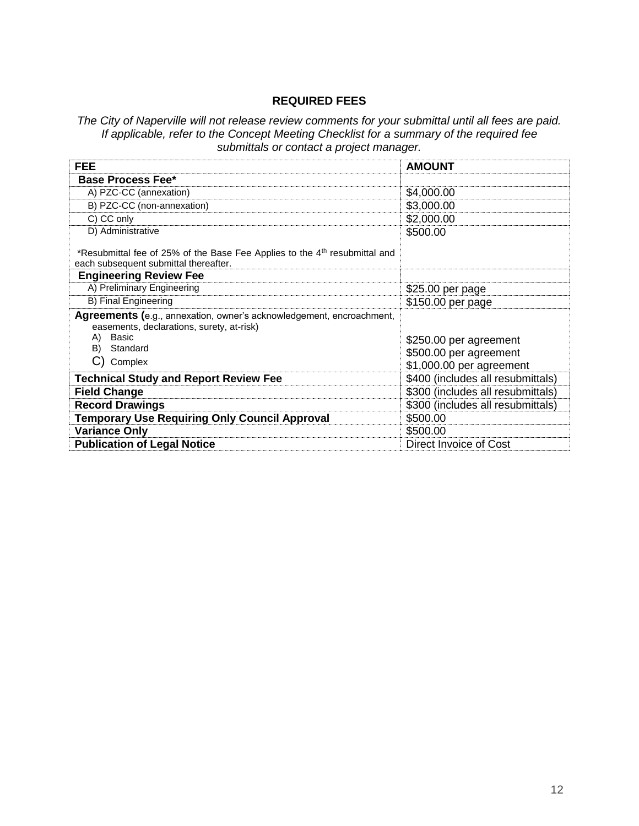## **REQUIRED FEES**

*The City of Naperville will not release review comments for your submittal until all fees are paid. If applicable, refer to the Concept Meeting Checklist for a summary of the required fee submittals or contact a project manager.*

| <b>FEE</b>                                                                                                                      | <b>AMOUNT</b>                     |
|---------------------------------------------------------------------------------------------------------------------------------|-----------------------------------|
| <b>Base Process Fee*</b>                                                                                                        |                                   |
| A) PZC-CC (annexation)                                                                                                          | \$4,000.00                        |
| B) PZC-CC (non-annexation)                                                                                                      | \$3,000.00                        |
| C) CC only                                                                                                                      | \$2,000.00                        |
| D) Administrative                                                                                                               | \$500.00                          |
| *Resubmittal fee of 25% of the Base Fee Applies to the 4 <sup>th</sup> resubmittal and<br>each subsequent submittal thereafter. |                                   |
| <b>Engineering Review Fee</b>                                                                                                   |                                   |
| A) Preliminary Engineering                                                                                                      | \$25.00 per page                  |
| B) Final Engineering                                                                                                            | \$150.00 per page                 |
| Agreements (e.g., annexation, owner's acknowledgement, encroachment,<br>easements, declarations, surety, at-risk)               |                                   |
| A) Basic                                                                                                                        | \$250.00 per agreement            |
| B)<br>Standard                                                                                                                  | \$500.00 per agreement            |
| C) Complex                                                                                                                      | \$1,000.00 per agreement          |
| <b>Technical Study and Report Review Fee</b>                                                                                    | \$400 (includes all resubmittals) |
| <b>Field Change</b>                                                                                                             | \$300 (includes all resubmittals) |
| <b>Record Drawings</b>                                                                                                          | \$300 (includes all resubmittals) |
| <b>Temporary Use Requiring Only Council Approval</b>                                                                            | \$500.00                          |
| <b>Variance Only</b>                                                                                                            | \$500.00                          |
| <b>Publication of Legal Notice</b>                                                                                              | Direct Invoice of Cost            |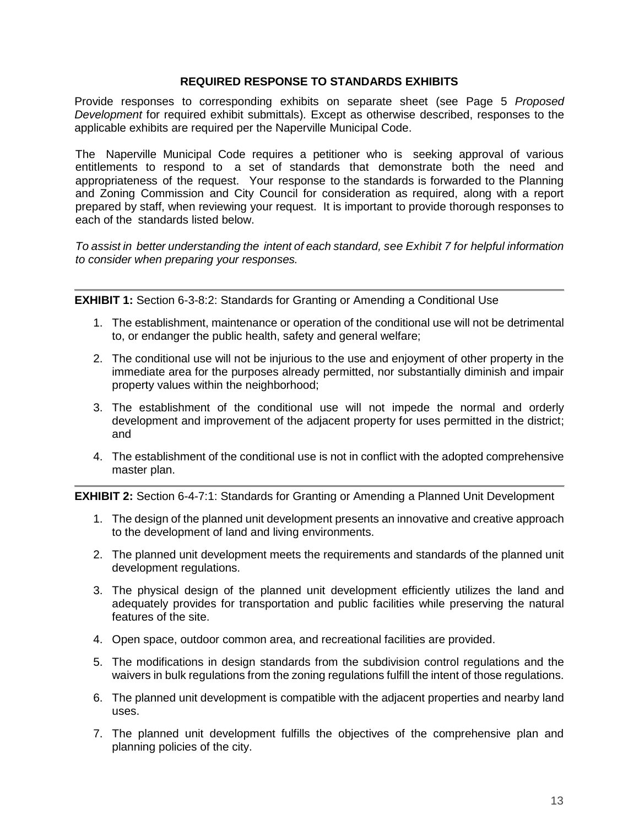#### **REQUIRED RESPONSE TO STANDARDS EXHIBITS**

Provide responses to corresponding exhibits on separate sheet (see Page 5 *Proposed Development* for required exhibit submittals)*.* Except as otherwise described, responses to the applicable exhibits are required per the Naperville Municipal Code.

The Naperville Municipal Code requires a petitioner who is seeking approval of various entitlements to respond to a set of standards that demonstrate both the need and appropriateness of the request. Your response to the standards is forwarded to the Planning and Zoning Commission and City Council for consideration as required, along with a report prepared by staff, when reviewing your request. It is important to provide thorough responses to each of the standards listed below.

*To assist in better understanding the intent of each standard, see Exhibit 7 for helpful information to consider when preparing your responses.*

**EXHIBIT 1:** Section 6-3-8:2: Standards for Granting or Amending a Conditional Use

- 1. The establishment, maintenance or operation of the conditional use will not be detrimental to, or endanger the public health, safety and general welfare;
- 2. The conditional use will not be injurious to the use and enjoyment of other property in the immediate area for the purposes already permitted, nor substantially diminish and impair property values within the neighborhood;
- 3. The establishment of the conditional use will not impede the normal and orderly development and improvement of the adjacent property for uses permitted in the district; and
- 4. The establishment of the conditional use is not in conflict with the adopted comprehensive master plan.

**EXHIBIT 2:** Section 6-4-7:1: Standards for Granting or Amending a Planned Unit Development

- 1. The design of the planned unit development presents an innovative and creative approach to the development of land and living environments.
- 2. The planned unit development meets the requirements and standards of the planned unit development regulations.
- 3. The physical design of the planned unit development efficiently utilizes the land and adequately provides for transportation and public facilities while preserving the natural features of the site.
- 4. Open space, outdoor common area, and recreational facilities are provided.
- 5. The modifications in design standards from the subdivision control regulations and the waivers in bulk regulations from the zoning regulations fulfill the intent of those regulations.
- 6. The planned unit development is compatible with the adjacent properties and nearby land uses.
- 7. The planned unit development fulfills the objectives of the comprehensive plan and planning policies of the city.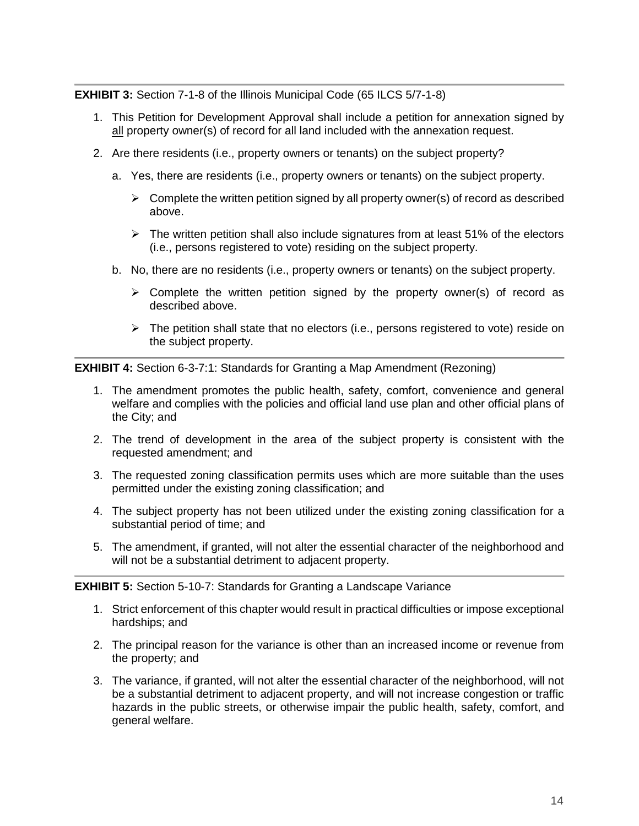**EXHIBIT 3:** Section 7-1-8 of the Illinois Municipal Code (65 ILCS 5/7-1-8)

- 1. This Petition for Development Approval shall include a petition for annexation signed by all property owner(s) of record for all land included with the annexation request.
- 2. Are there residents (i.e., property owners or tenants) on the subject property?
	- a. Yes, there are residents (i.e., property owners or tenants) on the subject property.
		- $\triangleright$  Complete the written petition signed by all property owner(s) of record as described above.
		- $\triangleright$  The written petition shall also include signatures from at least 51% of the electors (i.e., persons registered to vote) residing on the subject property.
	- b. No, there are no residents (i.e., property owners or tenants) on the subject property.
		- $\triangleright$  Complete the written petition signed by the property owner(s) of record as described above.
		- $\triangleright$  The petition shall state that no electors (i.e., persons registered to vote) reside on the subject property.

**EXHIBIT 4:** Section 6-3-7:1: Standards for Granting a Map Amendment (Rezoning)

- 1. The amendment promotes the public health, safety, comfort, convenience and general welfare and complies with the policies and official land use plan and other official plans of the City; and
- 2. The trend of development in the area of the subject property is consistent with the requested amendment; and
- 3. The requested zoning classification permits uses which are more suitable than the uses permitted under the existing zoning classification; and
- 4. The subject property has not been utilized under the existing zoning classification for a substantial period of time; and
- 5. The amendment, if granted, will not alter the essential character of the neighborhood and will not be a substantial detriment to adjacent property.

## **EXHIBIT 5:** Section 5-10-7: Standards for Granting a Landscape Variance

- 1. Strict enforcement of this chapter would result in practical difficulties or impose exceptional hardships; and
- 2. The principal reason for the variance is other than an increased income or revenue from the property; and
- 3. The variance, if granted, will not alter the essential character of the neighborhood, will not be a substantial detriment to adjacent property, and will not increase congestion or traffic hazards in the public streets, or otherwise impair the public health, safety, comfort, and general welfare.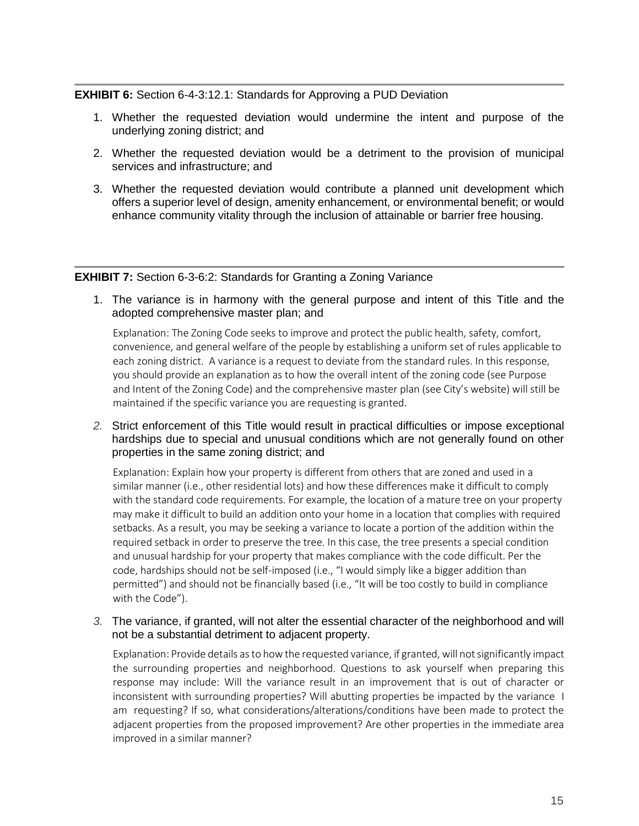#### **EXHIBIT 6:** Section 6-4-3:12.1: Standards for Approving a PUD Deviation

- 1. Whether the requested deviation would undermine the intent and purpose of the underlying zoning district; and
- 2. Whether the requested deviation would be a detriment to the provision of municipal services and infrastructure; and
- 3. Whether the requested deviation would contribute a planned unit development which offers a superior level of design, amenity enhancement, or environmental benefit; or would enhance community vitality through the inclusion of attainable or barrier free housing.

#### **EXHIBIT 7:** Section 6-3-6:2: Standards for Granting a Zoning Variance

1. The variance is in harmony with the general purpose and intent of this Title and the adopted comprehensive master plan; and

Explanation: The Zoning Code seeks to improve and protect the public health, safety, comfort, convenience, and general welfare of the people by establishing a uniform set of rules applicable to each zoning district. A variance is a request to deviate from the standard rules. In this response, you should provide an explanation as to how the overall intent of the zoning code (see Purpose and Intent of the Zoning Code) and the comprehensive master plan (see City's website) will still be maintained if the specific variance you are requesting is granted.

*2.* Strict enforcement of this Title would result in practical difficulties or impose exceptional hardships due to special and unusual conditions which are not generally found on other properties in the same zoning district; and

Explanation: Explain how your property is different from others that are zoned and used in a similar manner (i.e., other residential lots) and how these differences make it difficult to comply with the standard code requirements. For example, the location of a mature tree on your property may make it difficult to build an addition onto your home in a location that complies with required setbacks. As a result, you may be seeking a variance to locate a portion of the addition within the required setback in order to preserve the tree. In this case, the tree presents a special condition and unusual hardship for your property that makes compliance with the code difficult. Per the code, hardships should not be self-imposed (i.e., "I would simply like a bigger addition than permitted") and should not be financially based (i.e., "It will be too costly to build in compliance with the Code").

*3.* The variance, if granted, will not alter the essential character of the neighborhood and will not be a substantial detriment to adjacent property.

Explanation: Provide details as to how the requested variance, if granted, will not significantly impact the surrounding properties and neighborhood. Questions to ask yourself when preparing this response may include: Will the variance result in an improvement that is out of character or inconsistent with surrounding properties? Will abutting properties be impacted by the variance I am requesting? If so, what considerations/alterations/conditions have been made to protect the adjacent properties from the proposed improvement? Are other properties in the immediate area improved in a similar manner?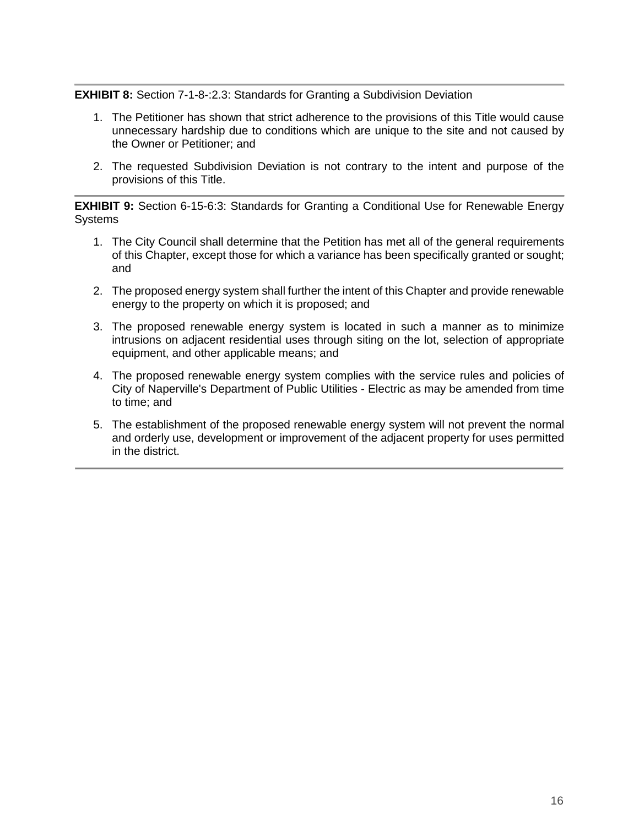## **EXHIBIT 8:** Section 7-1-8-:2.3: Standards for Granting a Subdivision Deviation

- 1. The Petitioner has shown that strict adherence to the provisions of this Title would cause unnecessary hardship due to conditions which are unique to the site and not caused by the Owner or Petitioner; and
- 2. The requested Subdivision Deviation is not contrary to the intent and purpose of the provisions of this Title.

**EXHIBIT 9:** Section 6-15-6:3: Standards for Granting a Conditional Use for Renewable Energy **Systems** 

- 1. The City Council shall determine that the Petition has met all of the general requirements of this Chapter, except those for which a variance has been specifically granted or sought; and
- 2. The proposed energy system shall further the intent of this Chapter and provide renewable energy to the property on which it is proposed; and
- 3. The proposed renewable energy system is located in such a manner as to minimize intrusions on adjacent residential uses through siting on the lot, selection of appropriate equipment, and other applicable means; and
- 4. The proposed renewable energy system complies with the service rules and policies of City of Naperville's Department of Public Utilities - Electric as may be amended from time to time; and
- 5. The establishment of the proposed renewable energy system will not prevent the normal and orderly use, development or improvement of the adjacent property for uses permitted in the district.